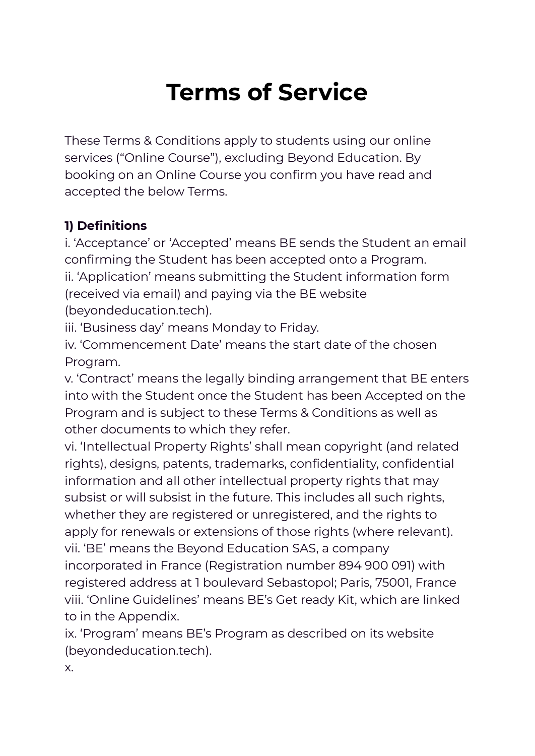# **Terms of Service**

These Terms & Conditions apply to students using our online services ("Online Course"), excluding Beyond Education. By booking on an Online Course you confirm you have read and accepted the below Terms.

# **1) Definitions**

i. 'Acceptance' or 'Accepted' means BE sends the Student an email confirming the Student has been accepted onto a Program. ii. 'Application' means submitting the Student information form (received via email) and paying via the BE website (beyondeducation.tech).

iii. 'Business day' means Monday to Friday.

iv. 'Commencement Date' means the start date of the chosen Program.

v. 'Contract' means the legally binding arrangement that BE enters into with the Student once the Student has been Accepted on the Program and is subject to these Terms & Conditions as well as other documents to which they refer.

vi. 'Intellectual Property Rights' shall mean copyright (and related rights), designs, patents, trademarks, confidentiality, confidential information and all other intellectual property rights that may subsist or will subsist in the future. This includes all such rights, whether they are registered or unregistered, and the rights to apply for renewals or extensions of those rights (where relevant). vii. 'BE' means the Beyond Education SAS, a company incorporated in France (Registration number 894 900 091) with registered address at 1 boulevard Sebastopol; Paris, 75001, France viii. 'Online Guidelines' means BE's Get ready Kit, which are linked to in the Appendix.

ix. 'Program' means BE's Program as described on its website (beyondeducation.tech).

x.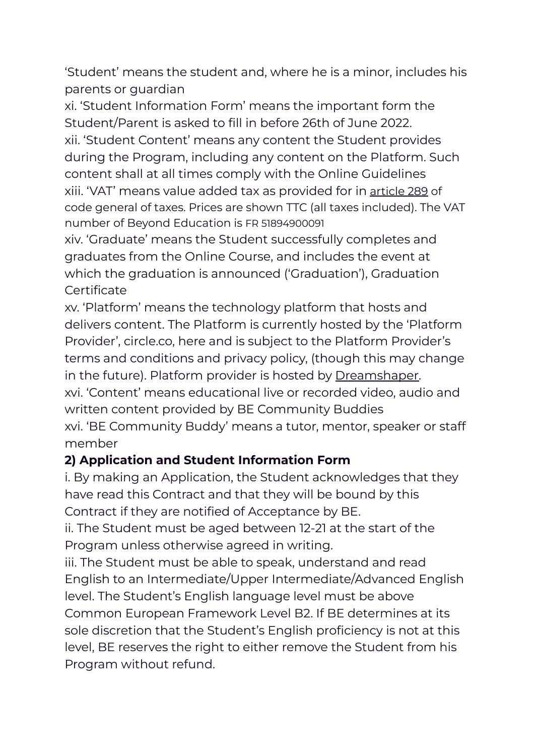'Student' means the student and, where he is a minor, includes his parents or guardian

xi. 'Student Information Form' means the important form the Student/Parent is asked to fill in before 26th of June 2022. xii. 'Student Content' means any content the Student provides during the Program, including any content on the Platform. Such content shall at all times comply with the Online Guidelines xiii. 'VAT' means value added tax as provided for in [article](https://www.legifrance.gouv.fr/codes/article_lc/LEGIARTI000041471177/) 289 of code general of taxes. Prices are shown TTC (all taxes included). The VAT number of Beyond Education is FR 51894900091

xiv. 'Graduate' means the Student successfully completes and graduates from the Online Course, and includes the event at which the graduation is announced ('Graduation'), Graduation **Certificate** 

xv. 'Platform' means the technology platform that hosts and delivers content. The Platform is currently hosted by the 'Platform Provider', circle.co, here and is subject to the Platform Provider's terms and conditions and privacy policy, (though this may change in the future). Platform provider is hosted by [Dreamshaper.](https://dreamshaper.com/pt/) xvi. 'Content' means educational live or recorded video, audio and written content provided by BE Community Buddies xvi. 'BE Community Buddy' means a tutor, mentor, speaker or staff member

## **2) Application and Student Information Form**

i. By making an Application, the Student acknowledges that they have read this Contract and that they will be bound by this Contract if they are notified of Acceptance by BE.

ii. The Student must be aged between 12-21 at the start of the Program unless otherwise agreed in writing.

iii. The Student must be able to speak, understand and read English to an Intermediate/Upper Intermediate/Advanced English level. The Student's English language level must be above Common European Framework Level B2. If BE determines at its sole discretion that the Student's English proficiency is not at this level, BE reserves the right to either remove the Student from his Program without refund.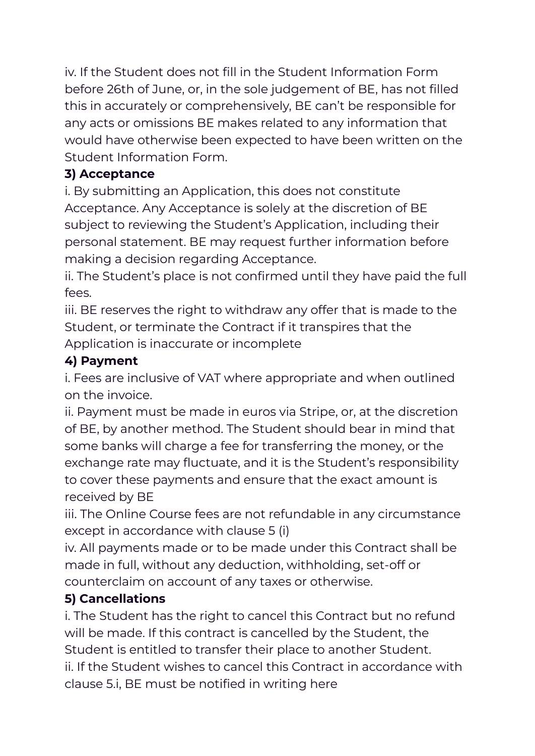iv. If the Student does not fill in the Student Information Form before 26th of June, or, in the sole judgement of BE, has not filled this in accurately or comprehensively, BE can't be responsible for any acts or omissions BE makes related to any information that would have otherwise been expected to have been written on the Student Information Form.

## **3) Acceptance**

i. By submitting an Application, this does not constitute Acceptance. Any Acceptance is solely at the discretion of BE subject to reviewing the Student's Application, including their personal statement. BE may request further information before making a decision regarding Acceptance.

ii. The Student's place is not confirmed until they have paid the full fees.

iii. BE reserves the right to withdraw any offer that is made to the Student, or terminate the Contract if it transpires that the Application is inaccurate or incomplete

## **4) Payment**

i. Fees are inclusive of VAT where appropriate and when outlined on the invoice.

ii. Payment must be made in euros via Stripe, or, at the discretion of BE, by another method. The Student should bear in mind that some banks will charge a fee for transferring the money, or the exchange rate may fluctuate, and it is the Student's responsibility to cover these payments and ensure that the exact amount is received by BE

iii. The Online Course fees are not refundable in any circumstance except in accordance with clause 5 (i)

iv. All payments made or to be made under this Contract shall be made in full, without any deduction, withholding, set-off or counterclaim on account of any taxes or otherwise.

## **5) Cancellations**

i. The Student has the right to cancel this Contract but no refund will be made. If this contract is cancelled by the Student, the Student is entitled to transfer their place to another Student. ii. If the Student wishes to cancel this Contract in accordance with clause 5.i, BE must be notified in writing here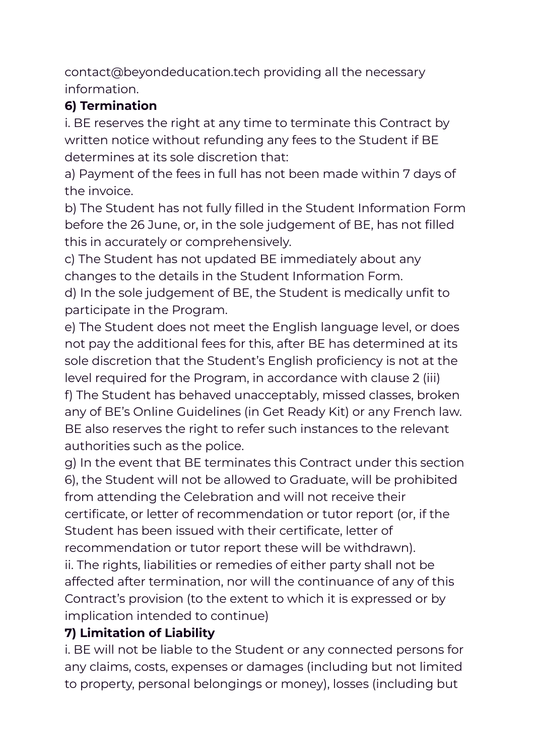contact@beyondeducation.tech providing all the necessary information.

# **6) Termination**

i. BE reserves the right at any time to terminate this Contract by written notice without refunding any fees to the Student if BE determines at its sole discretion that:

a) Payment of the fees in full has not been made within 7 days of the invoice.

b) The Student has not fully filled in the Student Information Form before the 26 June, or, in the sole judgement of BE, has not filled this in accurately or comprehensively.

c) The Student has not updated BE immediately about any changes to the details in the Student Information Form.

d) In the sole judgement of BE, the Student is medically unfit to participate in the Program.

e) The Student does not meet the English language level, or does not pay the additional fees for this, after BE has determined at its sole discretion that the Student's English proficiency is not at the level required for the Program, in accordance with clause 2 (iii) f) The Student has behaved unacceptably, missed classes, broken any of BE's Online Guidelines (in Get Ready Kit) or any French law. BE also reserves the right to refer such instances to the relevant authorities such as the police.

g) In the event that BE terminates this Contract under this section 6), the Student will not be allowed to Graduate, will be prohibited from attending the Celebration and will not receive their certificate, or letter of recommendation or tutor report (or, if the Student has been issued with their certificate, letter of recommendation or tutor report these will be withdrawn).

ii. The rights, liabilities or remedies of either party shall not be affected after termination, nor will the continuance of any of this Contract's provision (to the extent to which it is expressed or by implication intended to continue)

# **7) Limitation of Liability**

i. BE will not be liable to the Student or any connected persons for any claims, costs, expenses or damages (including but not limited to property, personal belongings or money), losses (including but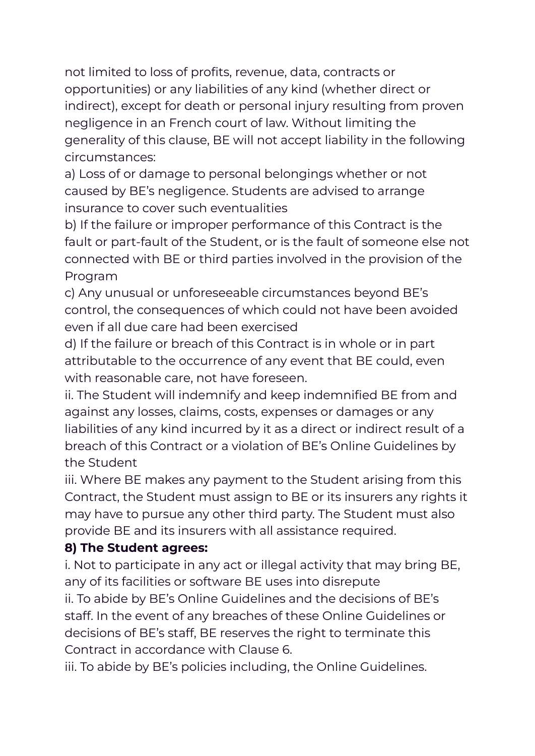not limited to loss of profits, revenue, data, contracts or opportunities) or any liabilities of any kind (whether direct or indirect), except for death or personal injury resulting from proven negligence in an French court of law. Without limiting the generality of this clause, BE will not accept liability in the following circumstances:

a) Loss of or damage to personal belongings whether or not caused by BE's negligence. Students are advised to arrange insurance to cover such eventualities

b) If the failure or improper performance of this Contract is the fault or part-fault of the Student, or is the fault of someone else not connected with BE or third parties involved in the provision of the Program

c) Any unusual or unforeseeable circumstances beyond BE's control, the consequences of which could not have been avoided even if all due care had been exercised

d) If the failure or breach of this Contract is in whole or in part attributable to the occurrence of any event that BE could, even with reasonable care, not have foreseen.

ii. The Student will indemnify and keep indemnified BE from and against any losses, claims, costs, expenses or damages or any liabilities of any kind incurred by it as a direct or indirect result of a breach of this Contract or a violation of BE's Online Guidelines by the Student

iii. Where BE makes any payment to the Student arising from this Contract, the Student must assign to BE or its insurers any rights it may have to pursue any other third party. The Student must also provide BE and its insurers with all assistance required.

#### **8) The Student agrees:**

i. Not to participate in any act or illegal activity that may bring BE, any of its facilities or software BE uses into disrepute ii. To abide by BE's Online Guidelines and the decisions of BE's staff. In the event of any breaches of these Online Guidelines or decisions of BE's staff, BE reserves the right to terminate this Contract in accordance with Clause 6.

iii. To abide by BE's policies including, the Online Guidelines.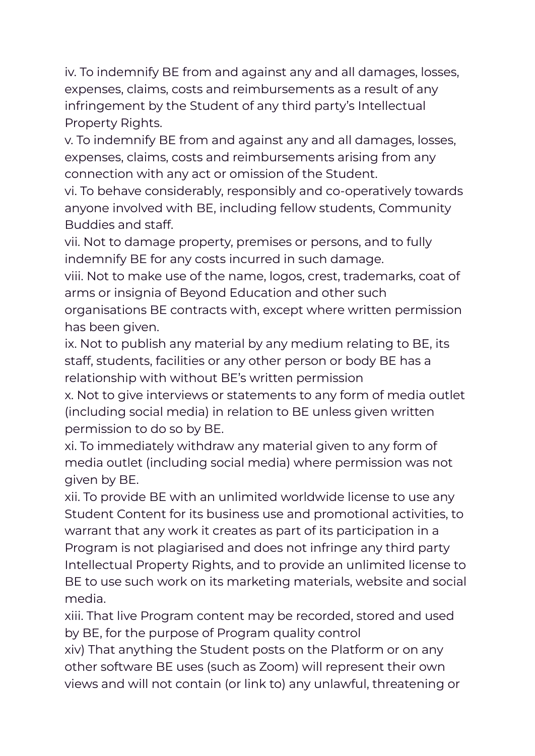iv. To indemnify BE from and against any and all damages, losses, expenses, claims, costs and reimbursements as a result of any infringement by the Student of any third party's Intellectual Property Rights.

v. To indemnify BE from and against any and all damages, losses, expenses, claims, costs and reimbursements arising from any connection with any act or omission of the Student.

vi. To behave considerably, responsibly and co-operatively towards anyone involved with BE, including fellow students, Community Buddies and staff.

vii. Not to damage property, premises or persons, and to fully indemnify BE for any costs incurred in such damage.

viii. Not to make use of the name, logos, crest, trademarks, coat of arms or insignia of Beyond Education and other such organisations BE contracts with, except where written permission has been given.

ix. Not to publish any material by any medium relating to BE, its staff, students, facilities or any other person or body BE has a relationship with without BE's written permission

x. Not to give interviews or statements to any form of media outlet (including social media) in relation to BE unless given written permission to do so by BE.

xi. To immediately withdraw any material given to any form of media outlet (including social media) where permission was not given by BE.

xii. To provide BE with an unlimited worldwide license to use any Student Content for its business use and promotional activities, to warrant that any work it creates as part of its participation in a Program is not plagiarised and does not infringe any third party Intellectual Property Rights, and to provide an unlimited license to BE to use such work on its marketing materials, website and social media.

xiii. That live Program content may be recorded, stored and used by BE, for the purpose of Program quality control

xiv) That anything the Student posts on the Platform or on any other software BE uses (such as Zoom) will represent their own views and will not contain (or link to) any unlawful, threatening or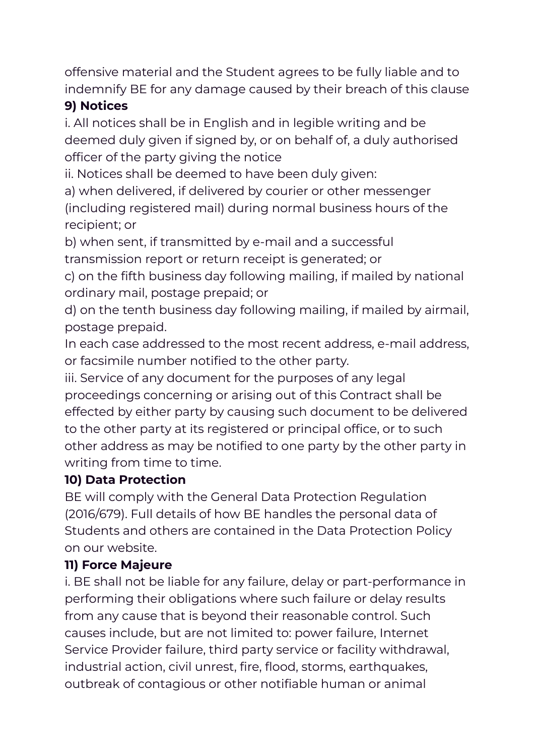offensive material and the Student agrees to be fully liable and to indemnify BE for any damage caused by their breach of this clause

## **9) Notices**

i. All notices shall be in English and in legible writing and be deemed duly given if signed by, or on behalf of, a duly authorised officer of the party giving the notice

ii. Notices shall be deemed to have been duly given:

a) when delivered, if delivered by courier or other messenger (including registered mail) during normal business hours of the recipient; or

b) when sent, if transmitted by e-mail and a successful transmission report or return receipt is generated; or

c) on the fifth business day following mailing, if mailed by national ordinary mail, postage prepaid; or

d) on the tenth business day following mailing, if mailed by airmail, postage prepaid.

In each case addressed to the most recent address, e-mail address, or facsimile number notified to the other party.

iii. Service of any document for the purposes of any legal proceedings concerning or arising out of this Contract shall be effected by either party by causing such document to be delivered to the other party at its registered or principal office, or to such other address as may be notified to one party by the other party in writing from time to time.

## **10) Data Protection**

BE will comply with the General Data Protection Regulation (2016/679). Full details of how BE handles the personal data of Students and others are contained in the Data Protection Policy on our website.

## **11) Force Majeure**

i. BE shall not be liable for any failure, delay or part-performance in performing their obligations where such failure or delay results from any cause that is beyond their reasonable control. Such causes include, but are not limited to: power failure, Internet Service Provider failure, third party service or facility withdrawal, industrial action, civil unrest, fire, flood, storms, earthquakes, outbreak of contagious or other notifiable human or animal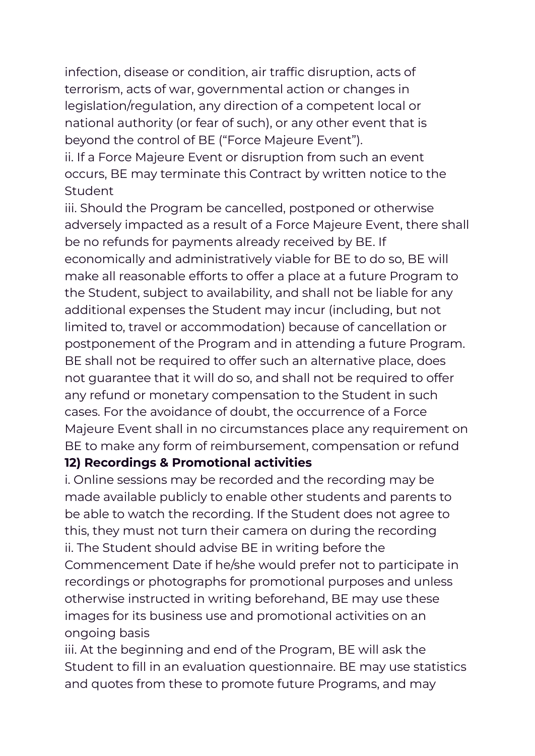infection, disease or condition, air traffic disruption, acts of terrorism, acts of war, governmental action or changes in legislation/regulation, any direction of a competent local or national authority (or fear of such), or any other event that is beyond the control of BE ("Force Majeure Event").

ii. If a Force Majeure Event or disruption from such an event occurs, BE may terminate this Contract by written notice to the Student

iii. Should the Program be cancelled, postponed or otherwise adversely impacted as a result of a Force Majeure Event, there shall be no refunds for payments already received by BE. If economically and administratively viable for BE to do so, BE will make all reasonable efforts to offer a place at a future Program to the Student, subject to availability, and shall not be liable for any additional expenses the Student may incur (including, but not limited to, travel or accommodation) because of cancellation or postponement of the Program and in attending a future Program. BE shall not be required to offer such an alternative place, does not guarantee that it will do so, and shall not be required to offer any refund or monetary compensation to the Student in such cases. For the avoidance of doubt, the occurrence of a Force Majeure Event shall in no circumstances place any requirement on BE to make any form of reimbursement, compensation or refund

#### **12) Recordings & Promotional activities**

i. Online sessions may be recorded and the recording may be made available publicly to enable other students and parents to be able to watch the recording. If the Student does not agree to this, they must not turn their camera on during the recording ii. The Student should advise BE in writing before the Commencement Date if he/she would prefer not to participate in recordings or photographs for promotional purposes and unless otherwise instructed in writing beforehand, BE may use these images for its business use and promotional activities on an ongoing basis

iii. At the beginning and end of the Program, BE will ask the Student to fill in an evaluation questionnaire. BE may use statistics and quotes from these to promote future Programs, and may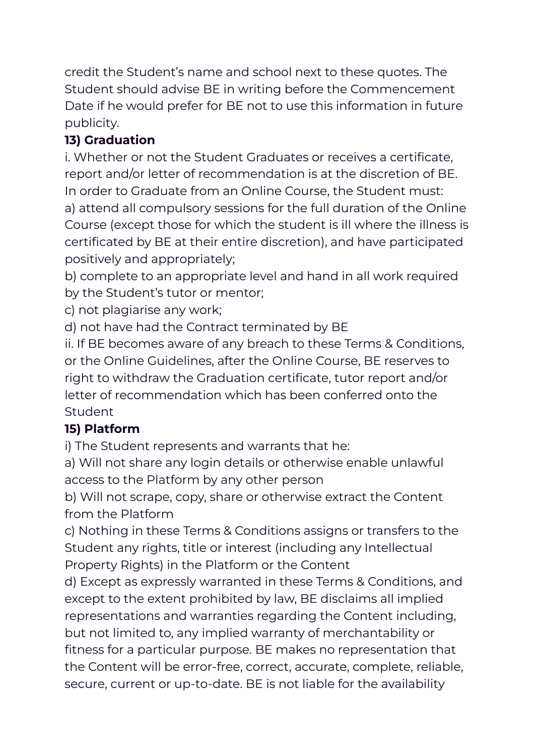credit the Student's name and school next to these quotes. The Student should advise BE in writing before the Commencement Date if he would prefer for BE not to use this information in future publicity.

# **13) Graduation**

i. Whether or not the Student Graduates or receives a certificate, report and/or letter of recommendation is at the discretion of BE. In order to Graduate from an Online Course, the Student must: a) attend all compulsory sessions for the full duration of the Online Course (except those for which the student is ill where the illness is certificated by BE at their entire discretion), and have participated positively and appropriately;

b) complete to an appropriate level and hand in all work required by the Student's tutor or mentor;

c) not plagiarise any work;

d) not have had the Contract terminated by BE

ii. If BE becomes aware of any breach to these Terms & Conditions, or the Online Guidelines, after the Online Course, BE reserves to right to withdraw the Graduation certificate, tutor report and/or letter of recommendation which has been conferred onto the Student

# **15) Platform**

i) The Student represents and warrants that he:

a) Will not share any login details or otherwise enable unlawful access to the Platform by any other person

b) Will not scrape, copy, share or otherwise extract the Content from the Platform

c) Nothing in these Terms & Conditions assigns or transfers to the Student any rights, title or interest (including any Intellectual Property Rights) in the Platform or the Content

d) Except as expressly warranted in these Terms & Conditions, and except to the extent prohibited by law, BE disclaims all implied representations and warranties regarding the Content including, but not limited to, any implied warranty of merchantability or fitness for a particular purpose. BE makes no representation that the Content will be error-free, correct, accurate, complete, reliable, secure, current or up-to-date. BE is not liable for the availability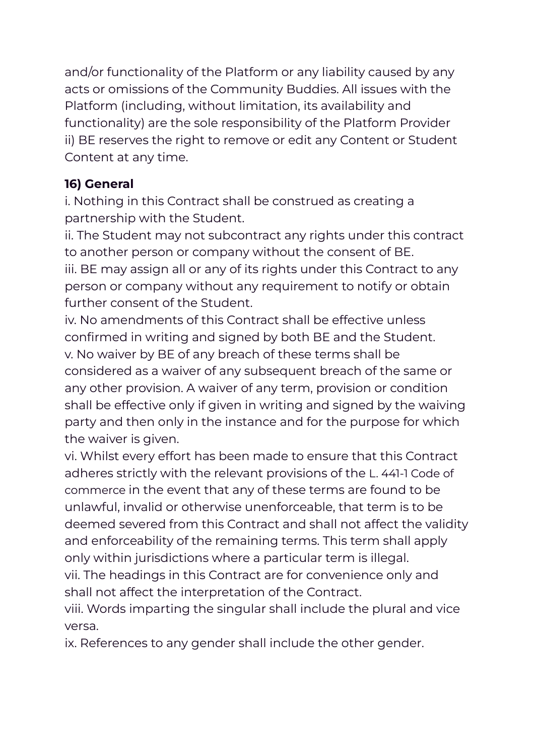and/or functionality of the Platform or any liability caused by any acts or omissions of the Community Buddies. All issues with the Platform (including, without limitation, its availability and functionality) are the sole responsibility of the Platform Provider ii) BE reserves the right to remove or edit any Content or Student Content at any time.

# **16) General**

i. Nothing in this Contract shall be construed as creating a partnership with the Student.

ii. The Student may not subcontract any rights under this contract to another person or company without the consent of BE. iii. BE may assign all or any of its rights under this Contract to any person or company without any requirement to notify or obtain further consent of the Student.

iv. No amendments of this Contract shall be effective unless confirmed in writing and signed by both BE and the Student. v. No waiver by BE of any breach of these terms shall be considered as a waiver of any subsequent breach of the same or any other provision. A waiver of any term, provision or condition shall be effective only if given in writing and signed by the waiving party and then only in the instance and for the purpose for which the waiver is given.

vi. Whilst every effort has been made to ensure that this Contract adheres strictly with the relevant provisions of the L. 441-1 Code of commerce in the event that any of these terms are found to be unlawful, invalid or otherwise unenforceable, that term is to be deemed severed from this Contract and shall not affect the validity and enforceability of the remaining terms. This term shall apply only within jurisdictions where a particular term is illegal.

vii. The headings in this Contract are for convenience only and shall not affect the interpretation of the Contract.

viii. Words imparting the singular shall include the plural and vice versa.

ix. References to any gender shall include the other gender.